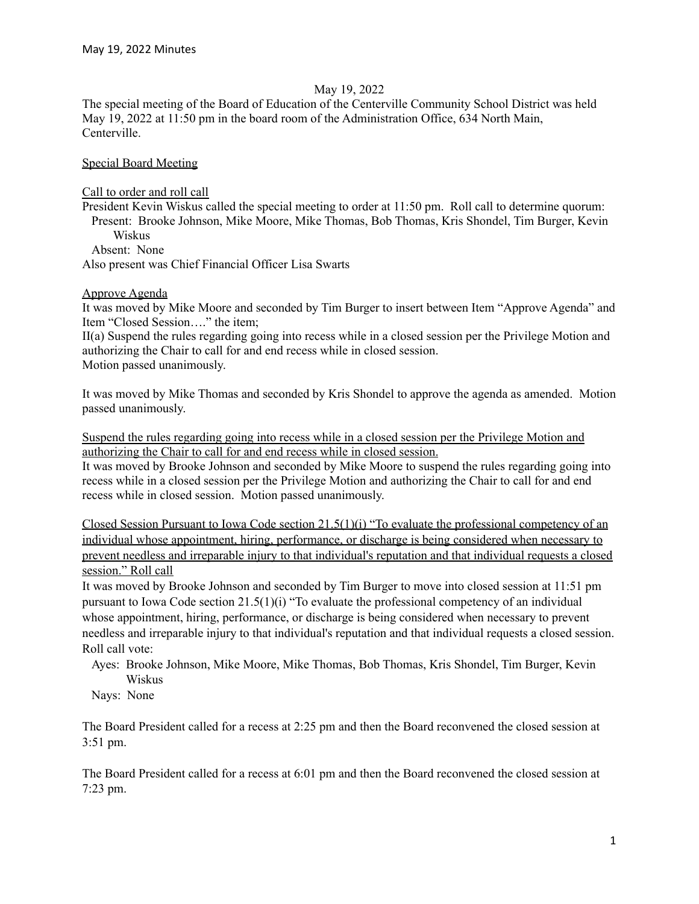# May 19, 2022

The special meeting of the Board of Education of the Centerville Community School District was held May 19, 2022 at 11:50 pm in the board room of the Administration Office, 634 North Main, Centerville.

# Special Board Meeting

Call to order and roll call

President Kevin Wiskus called the special meeting to order at 11:50 pm. Roll call to determine quorum: Present: Brooke Johnson, Mike Moore, Mike Thomas, Bob Thomas, Kris Shondel, Tim Burger, Kevin Wiskus

Absent: None

Also present was Chief Financial Officer Lisa Swarts

## Approve Agenda

It was moved by Mike Moore and seconded by Tim Burger to insert between Item "Approve Agenda" and Item "Closed Session…." the item;

II(a) Suspend the rules regarding going into recess while in a closed session per the Privilege Motion and authorizing the Chair to call for and end recess while in closed session. Motion passed unanimously.

It was moved by Mike Thomas and seconded by Kris Shondel to approve the agenda as amended. Motion passed unanimously.

Suspend the rules regarding going into recess while in a closed session per the Privilege Motion and authorizing the Chair to call for and end recess while in closed session.

It was moved by Brooke Johnson and seconded by Mike Moore to suspend the rules regarding going into recess while in a closed session per the Privilege Motion and authorizing the Chair to call for and end recess while in closed session. Motion passed unanimously.

Closed Session Pursuant to Iowa Code section 21.5(1)(i) "To evaluate the professional competency of an individual whose appointment, hiring, performance, or discharge is being considered when necessary to prevent needless and irreparable injury to that individual's reputation and that individual requests a closed session." Roll call

It was moved by Brooke Johnson and seconded by Tim Burger to move into closed session at 11:51 pm pursuant to Iowa Code section 21.5(1)(i) "To evaluate the professional competency of an individual whose appointment, hiring, performance, or discharge is being considered when necessary to prevent needless and irreparable injury to that individual's reputation and that individual requests a closed session. Roll call vote:

Ayes: Brooke Johnson, Mike Moore, Mike Thomas, Bob Thomas, Kris Shondel, Tim Burger, Kevin Wiskus

Nays: None

The Board President called for a recess at 2:25 pm and then the Board reconvened the closed session at 3:51 pm.

The Board President called for a recess at 6:01 pm and then the Board reconvened the closed session at 7:23 pm.